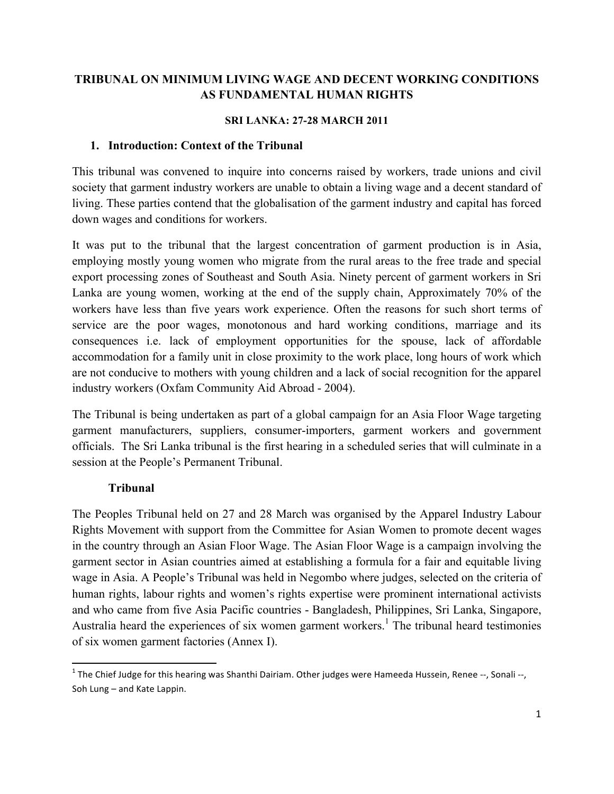## **TRIBUNAL ON MINIMUM LIVING WAGE AND DECENT WORKING CONDITIONS AS FUNDAMENTAL HUMAN RIGHTS**

#### **SRI LANKA: 27-28 MARCH 2011**

#### **1. Introduction: Context of the Tribunal**

This tribunal was convened to inquire into concerns raised by workers, trade unions and civil society that garment industry workers are unable to obtain a living wage and a decent standard of living. These parties contend that the globalisation of the garment industry and capital has forced down wages and conditions for workers.

It was put to the tribunal that the largest concentration of garment production is in Asia, employing mostly young women who migrate from the rural areas to the free trade and special export processing zones of Southeast and South Asia. Ninety percent of garment workers in Sri Lanka are young women, working at the end of the supply chain, Approximately 70% of the workers have less than five years work experience. Often the reasons for such short terms of service are the poor wages, monotonous and hard working conditions, marriage and its consequences i.e. lack of employment opportunities for the spouse, lack of affordable accommodation for a family unit in close proximity to the work place, long hours of work which are not conducive to mothers with young children and a lack of social recognition for the apparel industry workers (Oxfam Community Aid Abroad - 2004).

The Tribunal is being undertaken as part of a global campaign for an Asia Floor Wage targeting garment manufacturers, suppliers, consumer-importers, garment workers and government officials. The Sri Lanka tribunal is the first hearing in a scheduled series that will culminate in a session at the People's Permanent Tribunal.

## **Tribunal**

<u> 1989 - Johann Stein, fransk politik (d. 1989)</u>

The Peoples Tribunal held on 27 and 28 March was organised by the Apparel Industry Labour Rights Movement with support from the Committee for Asian Women to promote decent wages in the country through an Asian Floor Wage. The Asian Floor Wage is a campaign involving the garment sector in Asian countries aimed at establishing a formula for a fair and equitable living wage in Asia. A People's Tribunal was held in Negombo where judges, selected on the criteria of human rights, labour rights and women's rights expertise were prominent international activists and who came from five Asia Pacific countries - Bangladesh, Philippines, Sri Lanka, Singapore, Australia heard the experiences of six women garment workers.<sup>1</sup> The tribunal heard testimonies of six women garment factories (Annex I).

 $1$  The Chief Judge for this hearing was Shanthi Dairiam. Other judges were Hameeda Hussein, Renee --, Sonali --, Soh Lung - and Kate Lappin.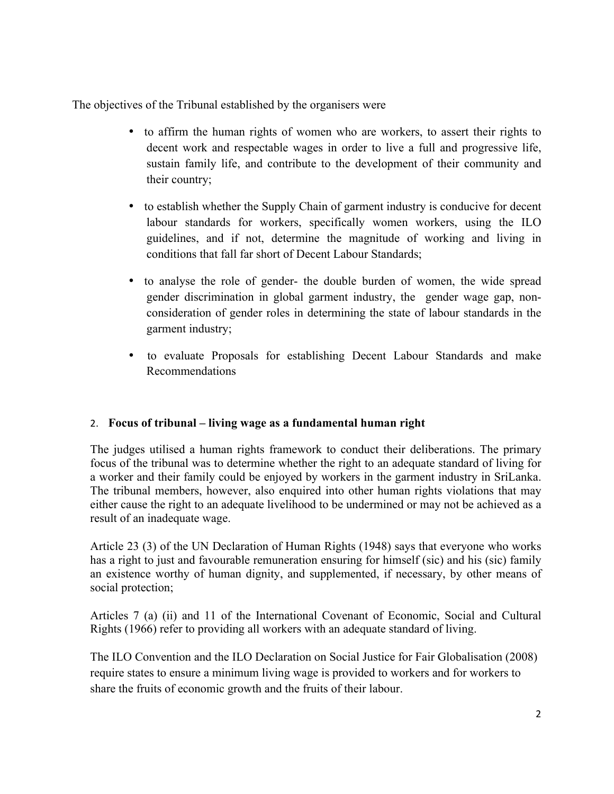The objectives of the Tribunal established by the organisers were

- to affirm the human rights of women who are workers, to assert their rights to decent work and respectable wages in order to live a full and progressive life, sustain family life, and contribute to the development of their community and their country;
- to establish whether the Supply Chain of garment industry is conducive for decent labour standards for workers, specifically women workers, using the ILO guidelines, and if not, determine the magnitude of working and living in conditions that fall far short of Decent Labour Standards;
- to analyse the role of gender- the double burden of women, the wide spread gender discrimination in global garment industry, the gender wage gap, nonconsideration of gender roles in determining the state of labour standards in the garment industry;
- to evaluate Proposals for establishing Decent Labour Standards and make Recommendations

## 2. **Focus of tribunal – living wage as a fundamental human right**

The judges utilised a human rights framework to conduct their deliberations. The primary focus of the tribunal was to determine whether the right to an adequate standard of living for a worker and their family could be enjoyed by workers in the garment industry in SriLanka. The tribunal members, however, also enquired into other human rights violations that may either cause the right to an adequate livelihood to be undermined or may not be achieved as a result of an inadequate wage.

Article 23 (3) of the UN Declaration of Human Rights (1948) says that everyone who works has a right to just and favourable remuneration ensuring for himself (sic) and his (sic) family an existence worthy of human dignity, and supplemented, if necessary, by other means of social protection;

Articles 7 (a) (ii) and 11 of the International Covenant of Economic, Social and Cultural Rights (1966) refer to providing all workers with an adequate standard of living.

The ILO Convention and the ILO Declaration on Social Justice for Fair Globalisation (2008) require states to ensure a minimum living wage is provided to workers and for workers to share the fruits of economic growth and the fruits of their labour.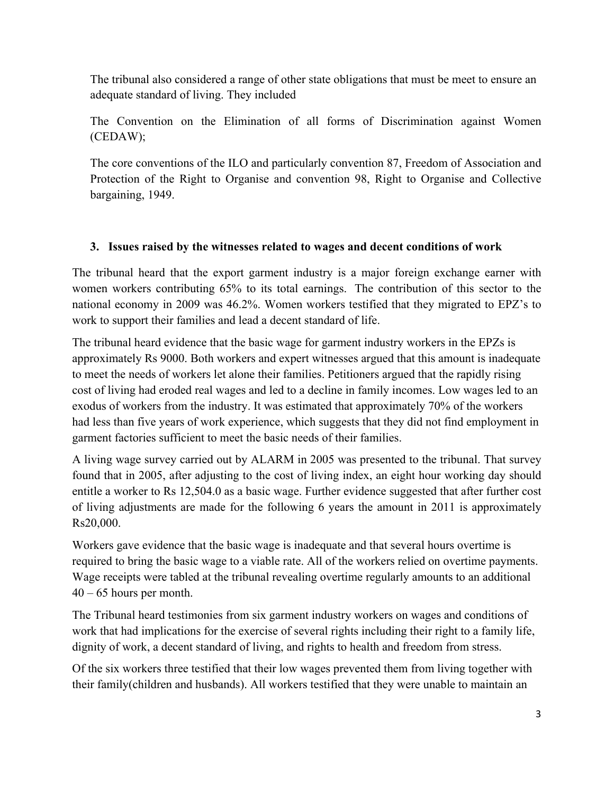The tribunal also considered a range of other state obligations that must be meet to ensure an adequate standard of living. They included

The Convention on the Elimination of all forms of Discrimination against Women (CEDAW);

The core conventions of the ILO and particularly convention 87, Freedom of Association and Protection of the Right to Organise and convention 98, Right to Organise and Collective bargaining, 1949.

# **3. Issues raised by the witnesses related to wages and decent conditions of work**

The tribunal heard that the export garment industry is a major foreign exchange earner with women workers contributing 65% to its total earnings. The contribution of this sector to the national economy in 2009 was 46.2%. Women workers testified that they migrated to EPZ's to work to support their families and lead a decent standard of life.

The tribunal heard evidence that the basic wage for garment industry workers in the EPZs is approximately Rs 9000. Both workers and expert witnesses argued that this amount is inadequate to meet the needs of workers let alone their families. Petitioners argued that the rapidly rising cost of living had eroded real wages and led to a decline in family incomes. Low wages led to an exodus of workers from the industry. It was estimated that approximately 70% of the workers had less than five years of work experience, which suggests that they did not find employment in garment factories sufficient to meet the basic needs of their families.

A living wage survey carried out by ALARM in 2005 was presented to the tribunal. That survey found that in 2005, after adjusting to the cost of living index, an eight hour working day should entitle a worker to Rs 12,504.0 as a basic wage. Further evidence suggested that after further cost of living adjustments are made for the following 6 years the amount in 2011 is approximately Rs20,000.

Workers gave evidence that the basic wage is inadequate and that several hours overtime is required to bring the basic wage to a viable rate. All of the workers relied on overtime payments. Wage receipts were tabled at the tribunal revealing overtime regularly amounts to an additional  $40 - 65$  hours per month.

The Tribunal heard testimonies from six garment industry workers on wages and conditions of work that had implications for the exercise of several rights including their right to a family life, dignity of work, a decent standard of living, and rights to health and freedom from stress.

Of the six workers three testified that their low wages prevented them from living together with their family(children and husbands). All workers testified that they were unable to maintain an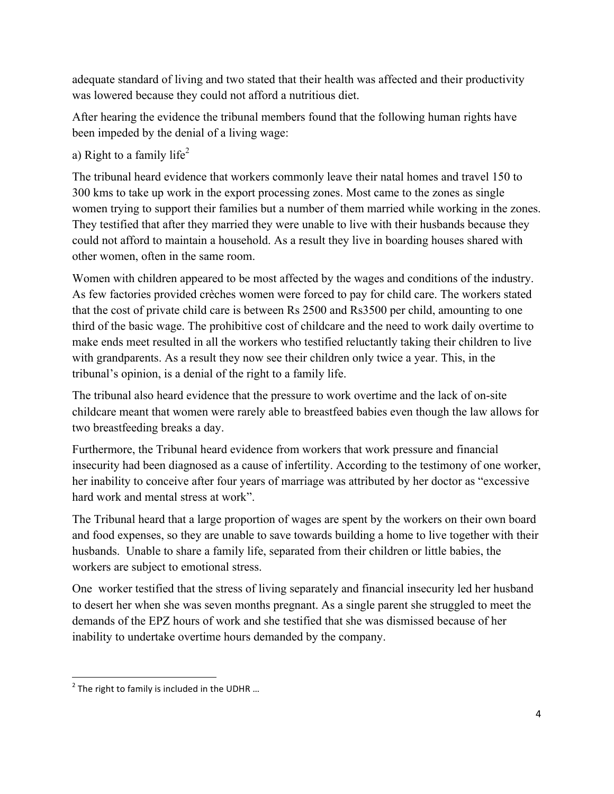adequate standard of living and two stated that their health was affected and their productivity was lowered because they could not afford a nutritious diet.

After hearing the evidence the tribunal members found that the following human rights have been impeded by the denial of a living wage:

# a) Right to a family life<sup>2</sup>

The tribunal heard evidence that workers commonly leave their natal homes and travel 150 to 300 kms to take up work in the export processing zones. Most came to the zones as single women trying to support their families but a number of them married while working in the zones. They testified that after they married they were unable to live with their husbands because they could not afford to maintain a household. As a result they live in boarding houses shared with other women, often in the same room.

Women with children appeared to be most affected by the wages and conditions of the industry. As few factories provided crèches women were forced to pay for child care. The workers stated that the cost of private child care is between Rs 2500 and Rs3500 per child, amounting to one third of the basic wage. The prohibitive cost of childcare and the need to work daily overtime to make ends meet resulted in all the workers who testified reluctantly taking their children to live with grandparents. As a result they now see their children only twice a year. This, in the tribunal's opinion, is a denial of the right to a family life.

The tribunal also heard evidence that the pressure to work overtime and the lack of on-site childcare meant that women were rarely able to breastfeed babies even though the law allows for two breastfeeding breaks a day.

Furthermore, the Tribunal heard evidence from workers that work pressure and financial insecurity had been diagnosed as a cause of infertility. According to the testimony of one worker, her inability to conceive after four years of marriage was attributed by her doctor as "excessive hard work and mental stress at work".

The Tribunal heard that a large proportion of wages are spent by the workers on their own board and food expenses, so they are unable to save towards building a home to live together with their husbands. Unable to share a family life, separated from their children or little babies, the workers are subject to emotional stress.

One worker testified that the stress of living separately and financial insecurity led her husband to desert her when she was seven months pregnant. As a single parent she struggled to meet the demands of the EPZ hours of work and she testified that she was dismissed because of her inability to undertake overtime hours demanded by the company.

<sup>&</sup>lt;u> 1989 - Johann Stein, fransk politik (d. 1989)</u>  $2$  The right to family is included in the UDHR ...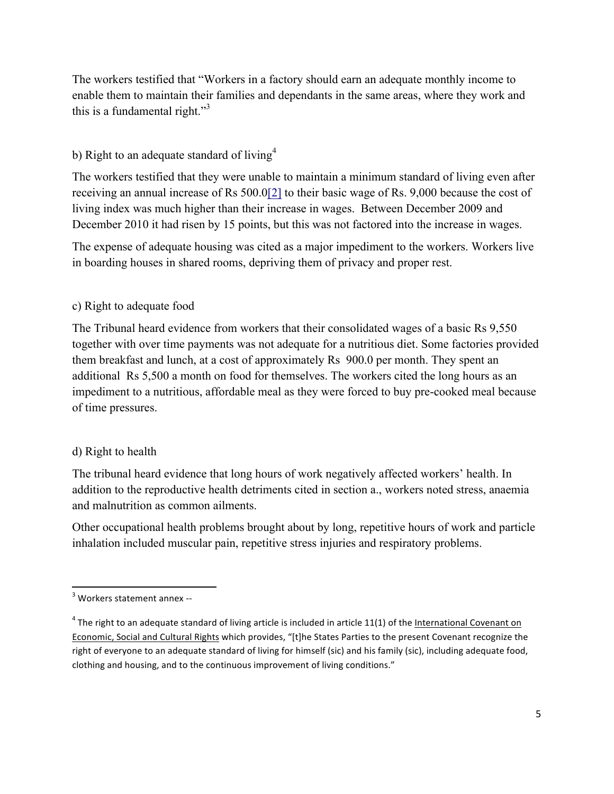The workers testified that "Workers in a factory should earn an adequate monthly income to enable them to maintain their families and dependants in the same areas, where they work and this is a fundamental right."<sup>3</sup>

## b) Right to an adequate standard of living<sup>4</sup>

The workers testified that they were unable to maintain a minimum standard of living even after receiving an annual increase of Rs 500.0[2] to their basic wage of Rs. 9,000 because the cost of living index was much higher than their increase in wages. Between December 2009 and December 2010 it had risen by 15 points, but this was not factored into the increase in wages.

The expense of adequate housing was cited as a major impediment to the workers. Workers live in boarding houses in shared rooms, depriving them of privacy and proper rest.

## c) Right to adequate food

The Tribunal heard evidence from workers that their consolidated wages of a basic Rs 9,550 together with over time payments was not adequate for a nutritious diet. Some factories provided them breakfast and lunch, at a cost of approximately Rs 900.0 per month. They spent an additional Rs 5,500 a month on food for themselves. The workers cited the long hours as an impediment to a nutritious, affordable meal as they were forced to buy pre-cooked meal because of time pressures.

## d) Right to health

The tribunal heard evidence that long hours of work negatively affected workers' health. In addition to the reproductive health detriments cited in section a., workers noted stress, anaemia and malnutrition as common ailments.

Other occupational health problems brought about by long, repetitive hours of work and particle inhalation included muscular pain, repetitive stress injuries and respiratory problems.

<sup>&</sup>lt;u> 1989 - Johann Stein, fransk politik (d. 1989)</u>  $3$  Workers statement annex --

 $4$  The right to an adequate standard of living article is included in article 11(1) of the International Covenant on Economic, Social and Cultural Rights which provides, "[t]he States Parties to the present Covenant recognize the right of everyone to an adequate standard of living for himself (sic) and his family (sic), including adequate food, clothing and housing, and to the continuous improvement of living conditions."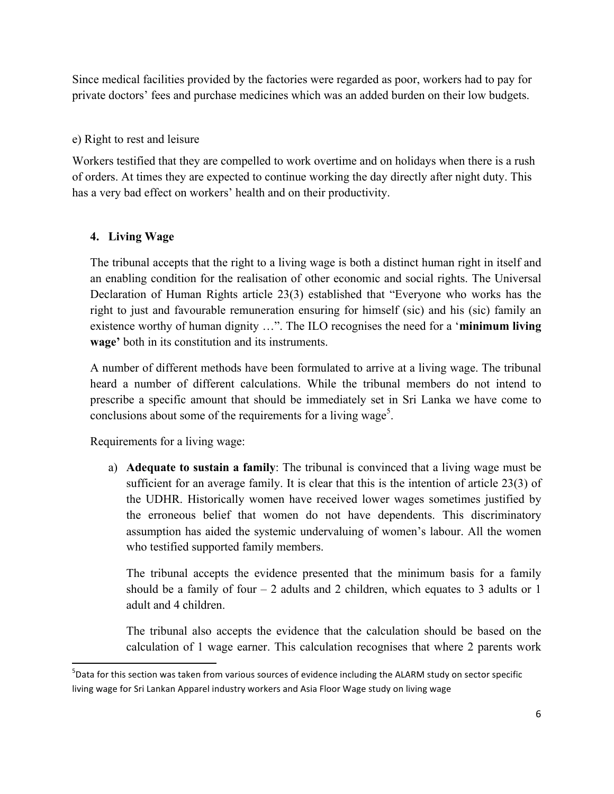Since medical facilities provided by the factories were regarded as poor, workers had to pay for private doctors' fees and purchase medicines which was an added burden on their low budgets.

## e) Right to rest and leisure

Workers testified that they are compelled to work overtime and on holidays when there is a rush of orders. At times they are expected to continue working the day directly after night duty. This has a very bad effect on workers' health and on their productivity.

## **4. Living Wage**

The tribunal accepts that the right to a living wage is both a distinct human right in itself and an enabling condition for the realisation of other economic and social rights. The Universal Declaration of Human Rights article 23(3) established that "Everyone who works has the right to just and favourable remuneration ensuring for himself (sic) and his (sic) family an existence worthy of human dignity …". The ILO recognises the need for a '**minimum living wage'** both in its constitution and its instruments.

A number of different methods have been formulated to arrive at a living wage. The tribunal heard a number of different calculations. While the tribunal members do not intend to prescribe a specific amount that should be immediately set in Sri Lanka we have come to conclusions about some of the requirements for a living wage<sup>5</sup>.

Requirements for a living wage:

<u> 1989 - Johann Stein, fransk politik (d. 1989)</u>

a) **Adequate to sustain a family**: The tribunal is convinced that a living wage must be sufficient for an average family. It is clear that this is the intention of article 23(3) of the UDHR. Historically women have received lower wages sometimes justified by the erroneous belief that women do not have dependents. This discriminatory assumption has aided the systemic undervaluing of women's labour. All the women who testified supported family members.

The tribunal accepts the evidence presented that the minimum basis for a family should be a family of four  $-2$  adults and 2 children, which equates to 3 adults or 1 adult and 4 children.

The tribunal also accepts the evidence that the calculation should be based on the calculation of 1 wage earner. This calculation recognises that where 2 parents work

 $^5$ Data for this section was taken from various sources of evidence including the ALARM study on sector specific living wage for Sri Lankan Apparel industry workers and Asia Floor Wage study on living wage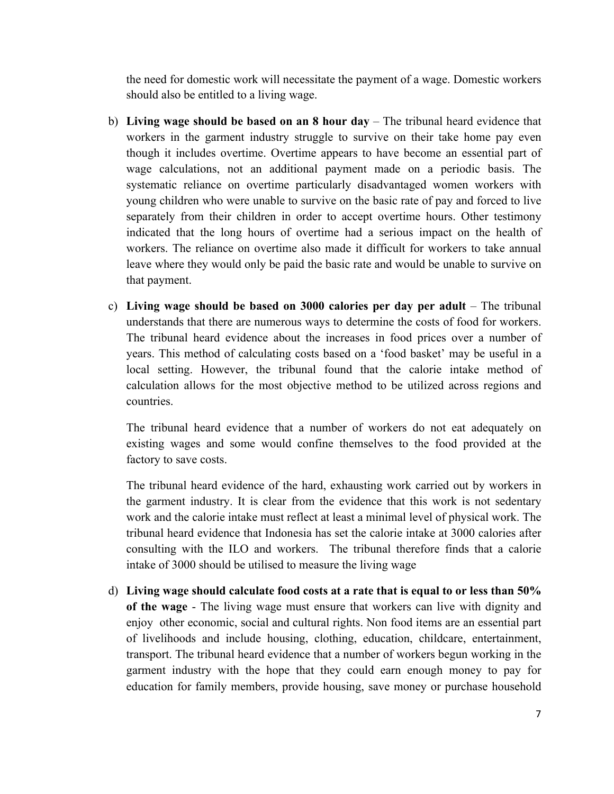the need for domestic work will necessitate the payment of a wage. Domestic workers should also be entitled to a living wage.

- b) **Living wage should be based on an 8 hour day** The tribunal heard evidence that workers in the garment industry struggle to survive on their take home pay even though it includes overtime. Overtime appears to have become an essential part of wage calculations, not an additional payment made on a periodic basis. The systematic reliance on overtime particularly disadvantaged women workers with young children who were unable to survive on the basic rate of pay and forced to live separately from their children in order to accept overtime hours. Other testimony indicated that the long hours of overtime had a serious impact on the health of workers. The reliance on overtime also made it difficult for workers to take annual leave where they would only be paid the basic rate and would be unable to survive on that payment.
- c) **Living wage should be based on 3000 calories per day per adult** The tribunal understands that there are numerous ways to determine the costs of food for workers. The tribunal heard evidence about the increases in food prices over a number of years. This method of calculating costs based on a 'food basket' may be useful in a local setting. However, the tribunal found that the calorie intake method of calculation allows for the most objective method to be utilized across regions and countries.

The tribunal heard evidence that a number of workers do not eat adequately on existing wages and some would confine themselves to the food provided at the factory to save costs.

The tribunal heard evidence of the hard, exhausting work carried out by workers in the garment industry. It is clear from the evidence that this work is not sedentary work and the calorie intake must reflect at least a minimal level of physical work. The tribunal heard evidence that Indonesia has set the calorie intake at 3000 calories after consulting with the ILO and workers. The tribunal therefore finds that a calorie intake of 3000 should be utilised to measure the living wage

d) **Living wage should calculate food costs at a rate that is equal to or less than 50% of the wage** - The living wage must ensure that workers can live with dignity and enjoy other economic, social and cultural rights. Non food items are an essential part of livelihoods and include housing, clothing, education, childcare, entertainment, transport. The tribunal heard evidence that a number of workers begun working in the garment industry with the hope that they could earn enough money to pay for education for family members, provide housing, save money or purchase household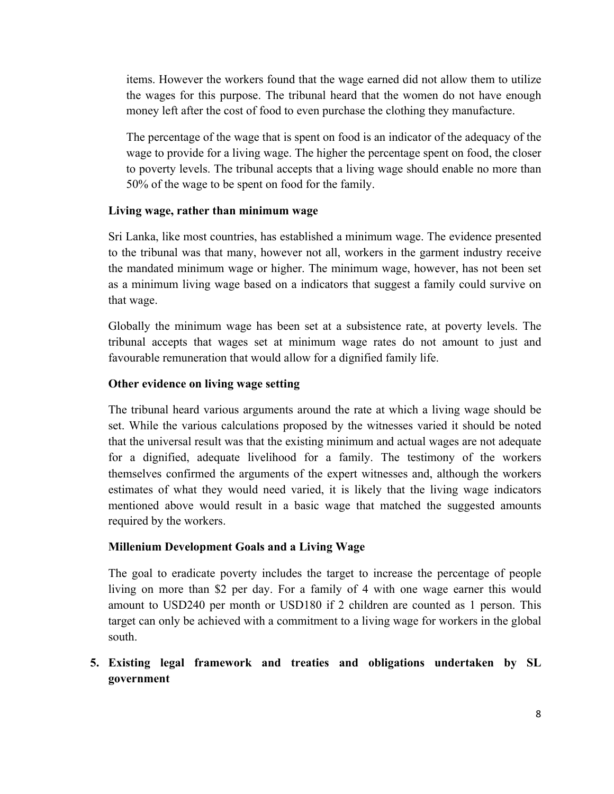items. However the workers found that the wage earned did not allow them to utilize the wages for this purpose. The tribunal heard that the women do not have enough money left after the cost of food to even purchase the clothing they manufacture.

The percentage of the wage that is spent on food is an indicator of the adequacy of the wage to provide for a living wage. The higher the percentage spent on food, the closer to poverty levels. The tribunal accepts that a living wage should enable no more than 50% of the wage to be spent on food for the family.

## **Living wage, rather than minimum wage**

Sri Lanka, like most countries, has established a minimum wage. The evidence presented to the tribunal was that many, however not all, workers in the garment industry receive the mandated minimum wage or higher. The minimum wage, however, has not been set as a minimum living wage based on a indicators that suggest a family could survive on that wage.

Globally the minimum wage has been set at a subsistence rate, at poverty levels. The tribunal accepts that wages set at minimum wage rates do not amount to just and favourable remuneration that would allow for a dignified family life.

## **Other evidence on living wage setting**

The tribunal heard various arguments around the rate at which a living wage should be set. While the various calculations proposed by the witnesses varied it should be noted that the universal result was that the existing minimum and actual wages are not adequate for a dignified, adequate livelihood for a family. The testimony of the workers themselves confirmed the arguments of the expert witnesses and, although the workers estimates of what they would need varied, it is likely that the living wage indicators mentioned above would result in a basic wage that matched the suggested amounts required by the workers.

## **Millenium Development Goals and a Living Wage**

The goal to eradicate poverty includes the target to increase the percentage of people living on more than \$2 per day. For a family of 4 with one wage earner this would amount to USD240 per month or USD180 if 2 children are counted as 1 person. This target can only be achieved with a commitment to a living wage for workers in the global south.

## **5. Existing legal framework and treaties and obligations undertaken by SL government**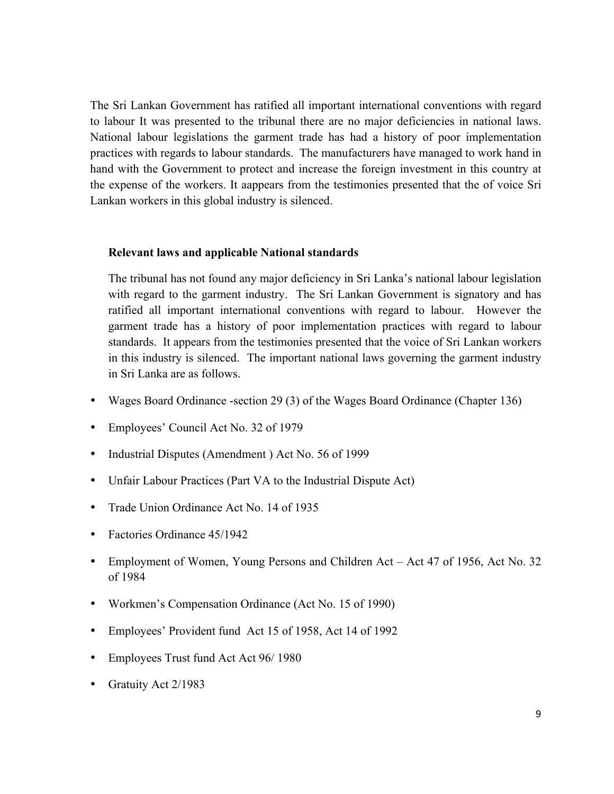The Sri Lankan Government has ratified all important international conventions with regard to labour It was presented to the tribunal there are no major deficiencies in national laws. National labour legislations the garment trade has had a history of poor implementation practices with regards to labour standards. The manufacturers have managed to work hand in hand with the Government to protect and increase the foreign investment in this country at the expense of the workers. It aappears from the testimonies presented that the of voice Sri Lankan workers in this global industry is silenced.

#### **Relevant laws and applicable National standards**

The tribunal has not found any major deficiency in Sri Lanka's national labour legislation with regard to the garment industry. The Sri Lankan Government is signatory and has ratified all important international conventions with regard to labour. However the garment trade has a history of poor implementation practices with regard to labour standards. It appears from the testimonies presented that the voice of Sri Lankan workers in this industry is silenced. The important national laws governing the garment industry in Sri Lanka are as follows.

- Wages Board Ordinance -section 29 (3) of the Wages Board Ordinance (Chapter 136)
- Employees' Council Act No. 32 of 1979
- Industrial Disputes (Amendment ) Act No. 56 of 1999
- Unfair Labour Practices (Part VA to the Industrial Dispute Act)
- Trade Union Ordinance Act No. 14 of 1935
- Factories Ordinance 45/1942
- Employment of Women, Young Persons and Children Act Act 47 of 1956, Act No. 32 of 1984
- Workmen's Compensation Ordinance (Act No. 15 of 1990)
- Employees' Provident fund Act 15 of 1958, Act 14 of 1992
- Employees Trust fund Act Act 96/ 1980
- Gratuity Act 2/1983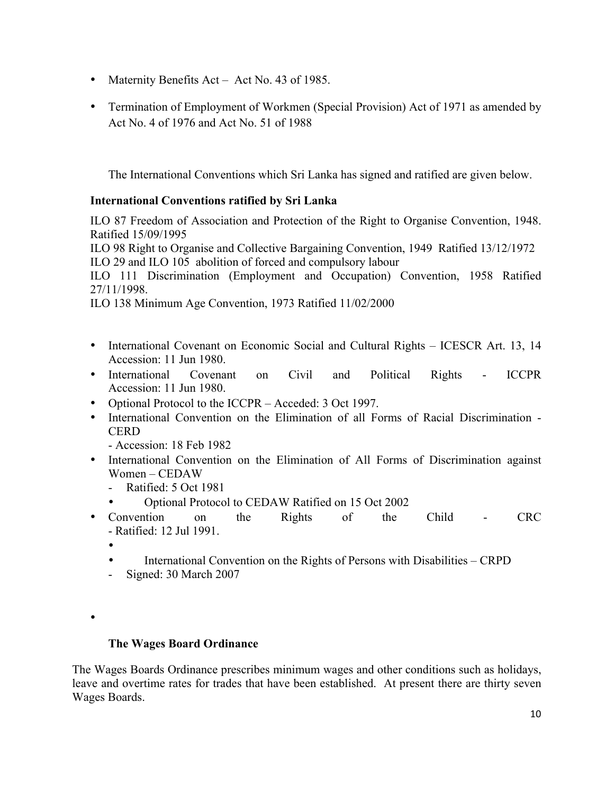- Maternity Benefits Act Act No. 43 of 1985.
- Termination of Employment of Workmen (Special Provision) Act of 1971 as amended by Act No. 4 of 1976 and Act No. 51 of 1988

The International Conventions which Sri Lanka has signed and ratified are given below.

## **International Conventions ratified by Sri Lanka**

ILO 87 Freedom of Association and Protection of the Right to Organise Convention, 1948. Ratified 15/09/1995

ILO 98 Right to Organise and Collective Bargaining Convention, 1949 Ratified 13/12/1972 ILO 29 and ILO 105 abolition of forced and compulsory labour

ILO 111 Discrimination (Employment and Occupation) Convention, 1958 Ratified 27/11/1998.

ILO 138 Minimum Age Convention, 1973 Ratified 11/02/2000

- International Covenant on Economic Social and Cultural Rights ICESCR Art. 13, 14 Accession: 11 Jun 1980.
- International Covenant on Civil and Political Rights ICCPR Accession: 11 Jun 1980.
- Optional Protocol to the ICCPR Acceded: 3 Oct 1997.
- International Convention on the Elimination of all Forms of Racial Discrimination **CERD**

- Accession: 18 Feb 1982

- International Convention on the Elimination of All Forms of Discrimination against Women – CEDAW
	- Ratified: 5 Oct 1981
	- Optional Protocol to CEDAW Ratified on 15 Oct 2002
- Convention on the Rights of the Child CRC - Ratified: 12 Jul 1991.
	- •
	- International Convention on the Rights of Persons with Disabilities CRPD
	- Signed: 30 March 2007
- •

## **The Wages Board Ordinance**

The Wages Boards Ordinance prescribes minimum wages and other conditions such as holidays, leave and overtime rates for trades that have been established. At present there are thirty seven Wages Boards.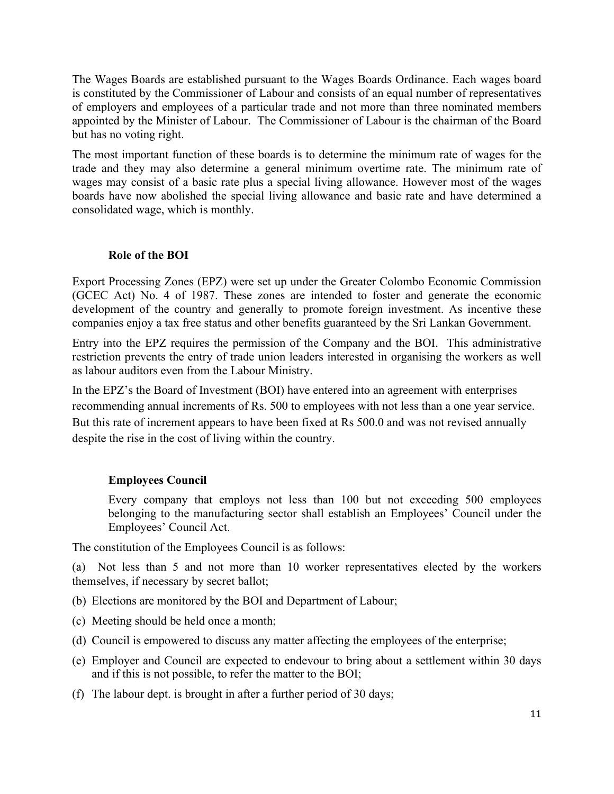The Wages Boards are established pursuant to the Wages Boards Ordinance. Each wages board is constituted by the Commissioner of Labour and consists of an equal number of representatives of employers and employees of a particular trade and not more than three nominated members appointed by the Minister of Labour. The Commissioner of Labour is the chairman of the Board but has no voting right.

The most important function of these boards is to determine the minimum rate of wages for the trade and they may also determine a general minimum overtime rate. The minimum rate of wages may consist of a basic rate plus a special living allowance. However most of the wages boards have now abolished the special living allowance and basic rate and have determined a consolidated wage, which is monthly.

#### **Role of the BOI**

Export Processing Zones (EPZ) were set up under the Greater Colombo Economic Commission (GCEC Act) No. 4 of 1987. These zones are intended to foster and generate the economic development of the country and generally to promote foreign investment. As incentive these companies enjoy a tax free status and other benefits guaranteed by the Sri Lankan Government.

Entry into the EPZ requires the permission of the Company and the BOI. This administrative restriction prevents the entry of trade union leaders interested in organising the workers as well as labour auditors even from the Labour Ministry.

In the EPZ's the Board of Investment (BOI) have entered into an agreement with enterprises recommending annual increments of Rs. 500 to employees with not less than a one year service. But this rate of increment appears to have been fixed at Rs 500.0 and was not revised annually despite the rise in the cost of living within the country.

## **Employees Council**

Every company that employs not less than 100 but not exceeding 500 employees belonging to the manufacturing sector shall establish an Employees' Council under the Employees' Council Act.

The constitution of the Employees Council is as follows:

(a) Not less than 5 and not more than 10 worker representatives elected by the workers themselves, if necessary by secret ballot;

- (b) Elections are monitored by the BOI and Department of Labour;
- (c) Meeting should be held once a month;
- (d) Council is empowered to discuss any matter affecting the employees of the enterprise;
- (e) Employer and Council are expected to endevour to bring about a settlement within 30 days and if this is not possible, to refer the matter to the BOI;
- (f) The labour dept. is brought in after a further period of 30 days;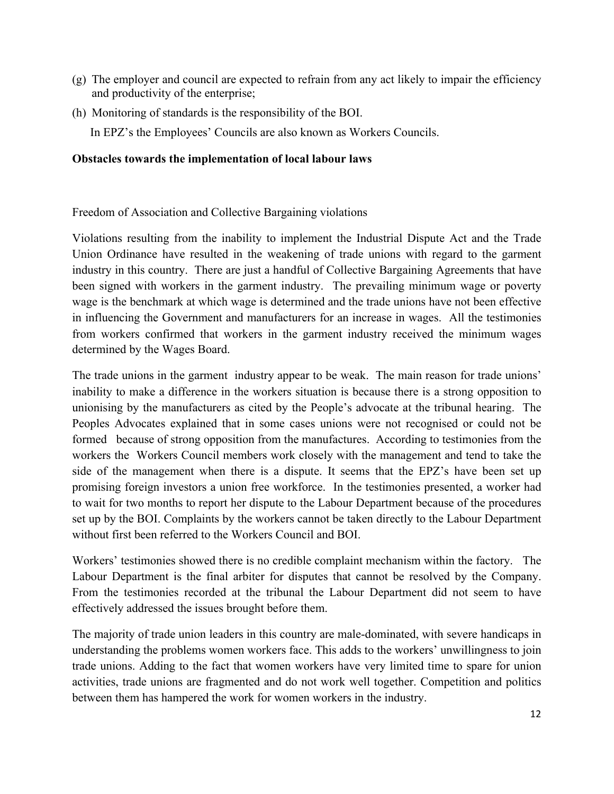- (g) The employer and council are expected to refrain from any act likely to impair the efficiency and productivity of the enterprise;
- (h) Monitoring of standards is the responsibility of the BOI. In EPZ's the Employees' Councils are also known as Workers Councils.

#### **Obstacles towards the implementation of local labour laws**

Freedom of Association and Collective Bargaining violations

Violations resulting from the inability to implement the Industrial Dispute Act and the Trade Union Ordinance have resulted in the weakening of trade unions with regard to the garment industry in this country. There are just a handful of Collective Bargaining Agreements that have been signed with workers in the garment industry. The prevailing minimum wage or poverty wage is the benchmark at which wage is determined and the trade unions have not been effective in influencing the Government and manufacturers for an increase in wages. All the testimonies from workers confirmed that workers in the garment industry received the minimum wages determined by the Wages Board.

The trade unions in the garment industry appear to be weak. The main reason for trade unions' inability to make a difference in the workers situation is because there is a strong opposition to unionising by the manufacturers as cited by the People's advocate at the tribunal hearing. The Peoples Advocates explained that in some cases unions were not recognised or could not be formed because of strong opposition from the manufactures. According to testimonies from the workers the Workers Council members work closely with the management and tend to take the side of the management when there is a dispute. It seems that the EPZ's have been set up promising foreign investors a union free workforce. In the testimonies presented, a worker had to wait for two months to report her dispute to the Labour Department because of the procedures set up by the BOI. Complaints by the workers cannot be taken directly to the Labour Department without first been referred to the Workers Council and BOI.

Workers' testimonies showed there is no credible complaint mechanism within the factory. The Labour Department is the final arbiter for disputes that cannot be resolved by the Company. From the testimonies recorded at the tribunal the Labour Department did not seem to have effectively addressed the issues brought before them.

The majority of trade union leaders in this country are male-dominated, with severe handicaps in understanding the problems women workers face. This adds to the workers' unwillingness to join trade unions. Adding to the fact that women workers have very limited time to spare for union activities, trade unions are fragmented and do not work well together. Competition and politics between them has hampered the work for women workers in the industry.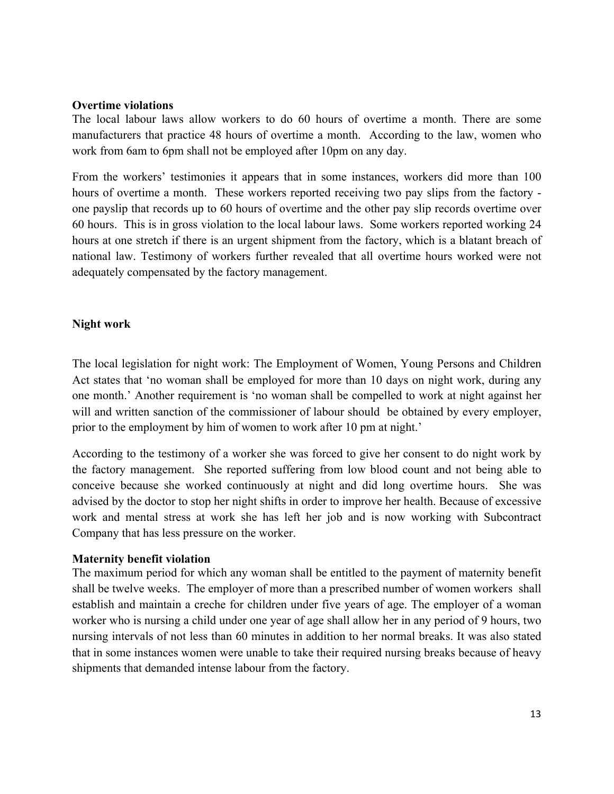#### **Overtime violations**

The local labour laws allow workers to do 60 hours of overtime a month. There are some manufacturers that practice 48 hours of overtime a month. According to the law, women who work from 6am to 6pm shall not be employed after 10pm on any day.

From the workers' testimonies it appears that in some instances, workers did more than 100 hours of overtime a month. These workers reported receiving two pay slips from the factory one payslip that records up to 60 hours of overtime and the other pay slip records overtime over 60 hours. This is in gross violation to the local labour laws. Some workers reported working 24 hours at one stretch if there is an urgent shipment from the factory, which is a blatant breach of national law. Testimony of workers further revealed that all overtime hours worked were not adequately compensated by the factory management.

## **Night work**

The local legislation for night work: The Employment of Women, Young Persons and Children Act states that 'no woman shall be employed for more than 10 days on night work, during any one month.' Another requirement is 'no woman shall be compelled to work at night against her will and written sanction of the commissioner of labour should be obtained by every employer, prior to the employment by him of women to work after 10 pm at night.'

According to the testimony of a worker she was forced to give her consent to do night work by the factory management. She reported suffering from low blood count and not being able to conceive because she worked continuously at night and did long overtime hours. She was advised by the doctor to stop her night shifts in order to improve her health. Because of excessive work and mental stress at work she has left her job and is now working with Subcontract Company that has less pressure on the worker.

## **Maternity benefit violation**

The maximum period for which any woman shall be entitled to the payment of maternity benefit shall be twelve weeks. The employer of more than a prescribed number of women workers shall establish and maintain a creche for children under five years of age. The employer of a woman worker who is nursing a child under one year of age shall allow her in any period of 9 hours, two nursing intervals of not less than 60 minutes in addition to her normal breaks. It was also stated that in some instances women were unable to take their required nursing breaks because of heavy shipments that demanded intense labour from the factory.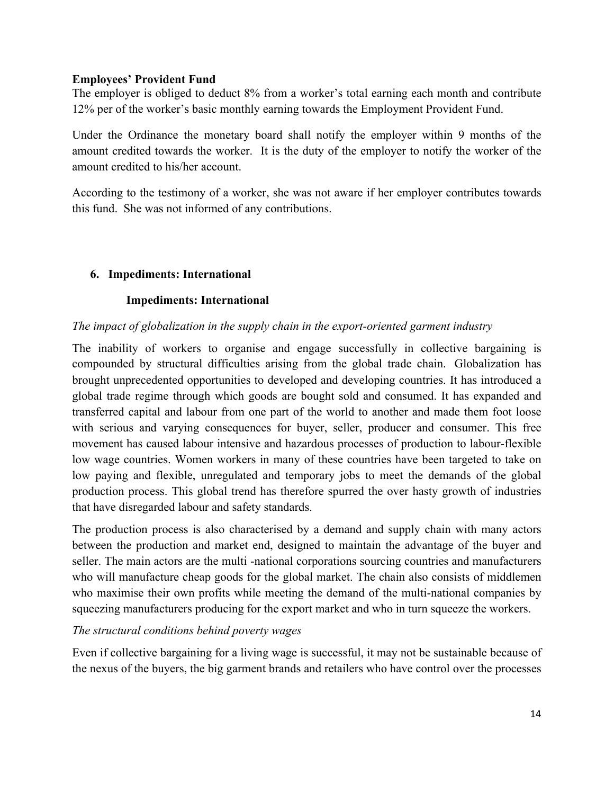#### **Employees' Provident Fund**

The employer is obliged to deduct 8% from a worker's total earning each month and contribute 12% per of the worker's basic monthly earning towards the Employment Provident Fund.

Under the Ordinance the monetary board shall notify the employer within 9 months of the amount credited towards the worker. It is the duty of the employer to notify the worker of the amount credited to his/her account.

According to the testimony of a worker, she was not aware if her employer contributes towards this fund. She was not informed of any contributions.

## **6. Impediments: International**

## **Impediments: International**

## *The impact of globalization in the supply chain in the export-oriented garment industry*

The inability of workers to organise and engage successfully in collective bargaining is compounded by structural difficulties arising from the global trade chain. Globalization has brought unprecedented opportunities to developed and developing countries. It has introduced a global trade regime through which goods are bought sold and consumed. It has expanded and transferred capital and labour from one part of the world to another and made them foot loose with serious and varying consequences for buyer, seller, producer and consumer. This free movement has caused labour intensive and hazardous processes of production to labour-flexible low wage countries. Women workers in many of these countries have been targeted to take on low paying and flexible, unregulated and temporary jobs to meet the demands of the global production process. This global trend has therefore spurred the over hasty growth of industries that have disregarded labour and safety standards.

The production process is also characterised by a demand and supply chain with many actors between the production and market end, designed to maintain the advantage of the buyer and seller. The main actors are the multi -national corporations sourcing countries and manufacturers who will manufacture cheap goods for the global market. The chain also consists of middlemen who maximise their own profits while meeting the demand of the multi-national companies by squeezing manufacturers producing for the export market and who in turn squeeze the workers.

## *The structural conditions behind poverty wages*

Even if collective bargaining for a living wage is successful, it may not be sustainable because of the nexus of the buyers, the big garment brands and retailers who have control over the processes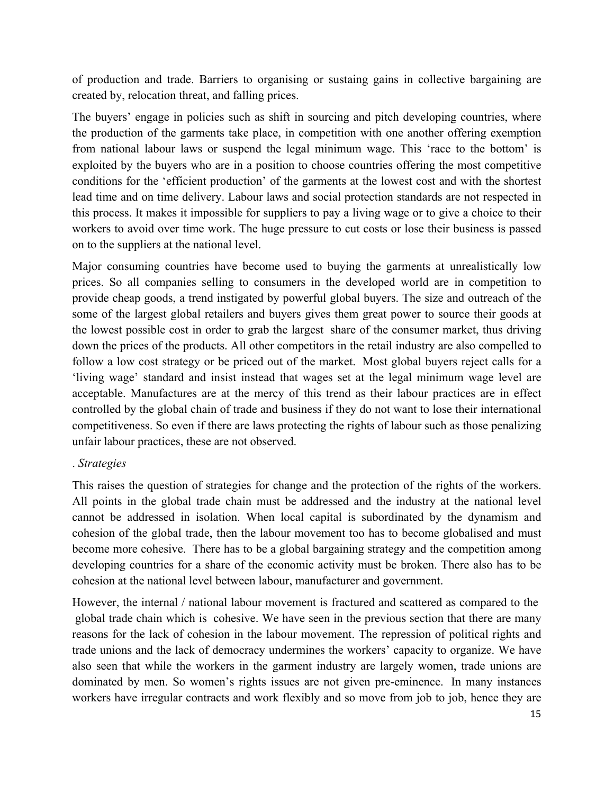of production and trade. Barriers to organising or sustaing gains in collective bargaining are created by, relocation threat, and falling prices.

The buyers' engage in policies such as shift in sourcing and pitch developing countries, where the production of the garments take place, in competition with one another offering exemption from national labour laws or suspend the legal minimum wage. This 'race to the bottom' is exploited by the buyers who are in a position to choose countries offering the most competitive conditions for the 'efficient production' of the garments at the lowest cost and with the shortest lead time and on time delivery. Labour laws and social protection standards are not respected in this process. It makes it impossible for suppliers to pay a living wage or to give a choice to their workers to avoid over time work. The huge pressure to cut costs or lose their business is passed on to the suppliers at the national level.

Major consuming countries have become used to buying the garments at unrealistically low prices. So all companies selling to consumers in the developed world are in competition to provide cheap goods, a trend instigated by powerful global buyers. The size and outreach of the some of the largest global retailers and buyers gives them great power to source their goods at the lowest possible cost in order to grab the largest share of the consumer market, thus driving down the prices of the products. All other competitors in the retail industry are also compelled to follow a low cost strategy or be priced out of the market. Most global buyers reject calls for a 'living wage' standard and insist instead that wages set at the legal minimum wage level are acceptable. Manufactures are at the mercy of this trend as their labour practices are in effect controlled by the global chain of trade and business if they do not want to lose their international competitiveness. So even if there are laws protecting the rights of labour such as those penalizing unfair labour practices, these are not observed.

## . *Strategies*

This raises the question of strategies for change and the protection of the rights of the workers. All points in the global trade chain must be addressed and the industry at the national level cannot be addressed in isolation. When local capital is subordinated by the dynamism and cohesion of the global trade, then the labour movement too has to become globalised and must become more cohesive. There has to be a global bargaining strategy and the competition among developing countries for a share of the economic activity must be broken. There also has to be cohesion at the national level between labour, manufacturer and government.

However, the internal / national labour movement is fractured and scattered as compared to the global trade chain which is cohesive. We have seen in the previous section that there are many reasons for the lack of cohesion in the labour movement. The repression of political rights and trade unions and the lack of democracy undermines the workers' capacity to organize. We have also seen that while the workers in the garment industry are largely women, trade unions are dominated by men. So women's rights issues are not given pre-eminence. In many instances workers have irregular contracts and work flexibly and so move from job to job, hence they are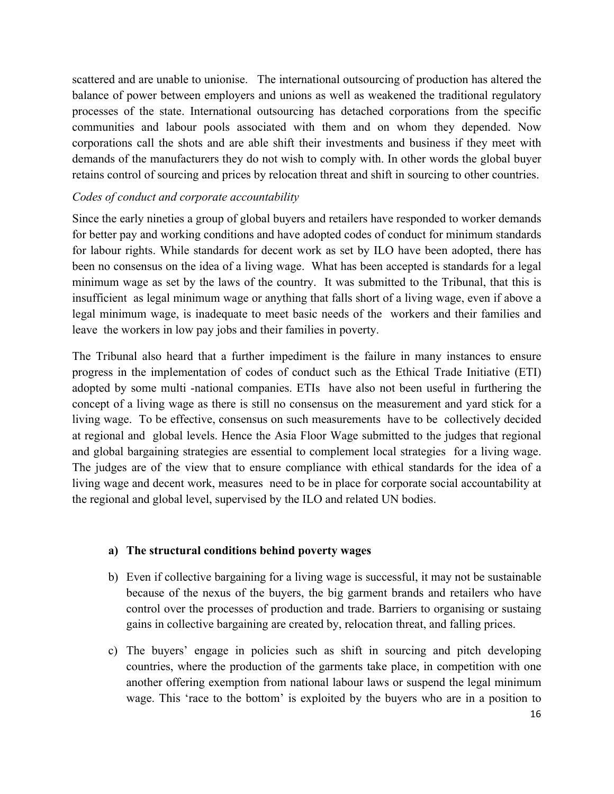scattered and are unable to unionise. The international outsourcing of production has altered the balance of power between employers and unions as well as weakened the traditional regulatory processes of the state. International outsourcing has detached corporations from the specific communities and labour pools associated with them and on whom they depended. Now corporations call the shots and are able shift their investments and business if they meet with demands of the manufacturers they do not wish to comply with. In other words the global buyer retains control of sourcing and prices by relocation threat and shift in sourcing to other countries.

## *Codes of conduct and corporate accountability*

Since the early nineties a group of global buyers and retailers have responded to worker demands for better pay and working conditions and have adopted codes of conduct for minimum standards for labour rights. While standards for decent work as set by ILO have been adopted, there has been no consensus on the idea of a living wage. What has been accepted is standards for a legal minimum wage as set by the laws of the country. It was submitted to the Tribunal, that this is insufficient as legal minimum wage or anything that falls short of a living wage, even if above a legal minimum wage, is inadequate to meet basic needs of the workers and their families and leave the workers in low pay jobs and their families in poverty.

The Tribunal also heard that a further impediment is the failure in many instances to ensure progress in the implementation of codes of conduct such as the Ethical Trade Initiative (ETI) adopted by some multi -national companies. ETIs have also not been useful in furthering the concept of a living wage as there is still no consensus on the measurement and yard stick for a living wage. To be effective, consensus on such measurements have to be collectively decided at regional and global levels. Hence the Asia Floor Wage submitted to the judges that regional and global bargaining strategies are essential to complement local strategies for a living wage. The judges are of the view that to ensure compliance with ethical standards for the idea of a living wage and decent work, measures need to be in place for corporate social accountability at the regional and global level, supervised by the ILO and related UN bodies.

## **a) The structural conditions behind poverty wages**

- b) Even if collective bargaining for a living wage is successful, it may not be sustainable because of the nexus of the buyers, the big garment brands and retailers who have control over the processes of production and trade. Barriers to organising or sustaing gains in collective bargaining are created by, relocation threat, and falling prices.
- c) The buyers' engage in policies such as shift in sourcing and pitch developing countries, where the production of the garments take place, in competition with one another offering exemption from national labour laws or suspend the legal minimum wage. This 'race to the bottom' is exploited by the buyers who are in a position to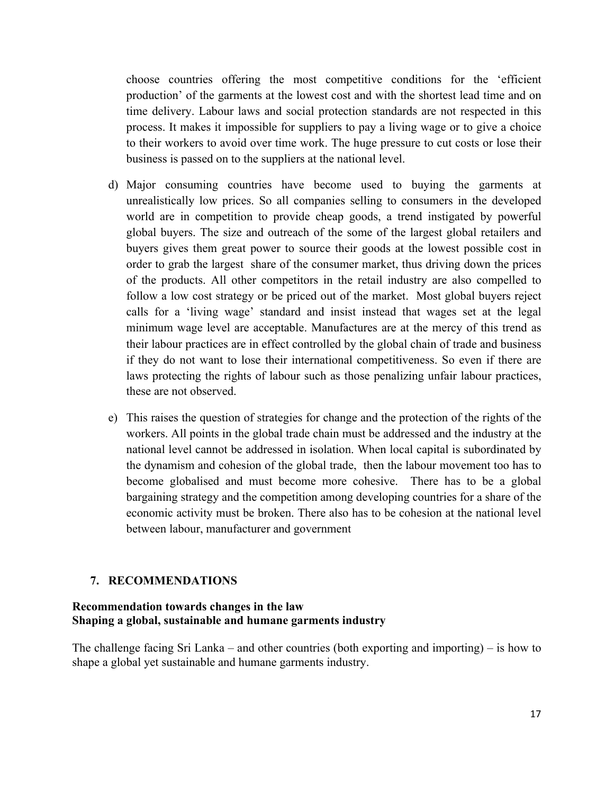choose countries offering the most competitive conditions for the 'efficient production' of the garments at the lowest cost and with the shortest lead time and on time delivery. Labour laws and social protection standards are not respected in this process. It makes it impossible for suppliers to pay a living wage or to give a choice to their workers to avoid over time work. The huge pressure to cut costs or lose their business is passed on to the suppliers at the national level.

- d) Major consuming countries have become used to buying the garments at unrealistically low prices. So all companies selling to consumers in the developed world are in competition to provide cheap goods, a trend instigated by powerful global buyers. The size and outreach of the some of the largest global retailers and buyers gives them great power to source their goods at the lowest possible cost in order to grab the largest share of the consumer market, thus driving down the prices of the products. All other competitors in the retail industry are also compelled to follow a low cost strategy or be priced out of the market. Most global buyers reject calls for a 'living wage' standard and insist instead that wages set at the legal minimum wage level are acceptable. Manufactures are at the mercy of this trend as their labour practices are in effect controlled by the global chain of trade and business if they do not want to lose their international competitiveness. So even if there are laws protecting the rights of labour such as those penalizing unfair labour practices, these are not observed.
- e) This raises the question of strategies for change and the protection of the rights of the workers. All points in the global trade chain must be addressed and the industry at the national level cannot be addressed in isolation. When local capital is subordinated by the dynamism and cohesion of the global trade, then the labour movement too has to become globalised and must become more cohesive. There has to be a global bargaining strategy and the competition among developing countries for a share of the economic activity must be broken. There also has to be cohesion at the national level between labour, manufacturer and government

## **7. RECOMMENDATIONS**

#### **Recommendation towards changes in the law Shaping a global, sustainable and humane garments industry**

The challenge facing Sri Lanka – and other countries (both exporting and importing) – is how to shape a global yet sustainable and humane garments industry.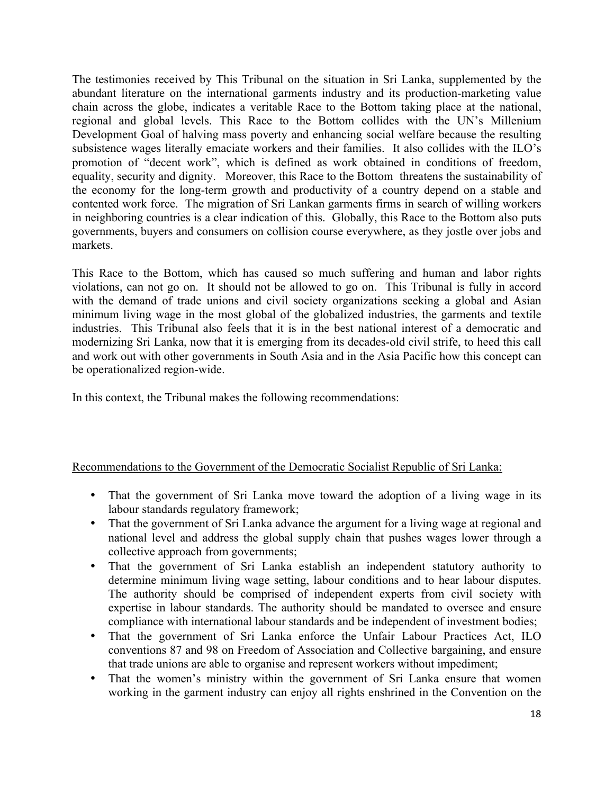The testimonies received by This Tribunal on the situation in Sri Lanka, supplemented by the abundant literature on the international garments industry and its production-marketing value chain across the globe, indicates a veritable Race to the Bottom taking place at the national, regional and global levels. This Race to the Bottom collides with the UN's Millenium Development Goal of halving mass poverty and enhancing social welfare because the resulting subsistence wages literally emaciate workers and their families. It also collides with the ILO's promotion of "decent work", which is defined as work obtained in conditions of freedom, equality, security and dignity. Moreover, this Race to the Bottom threatens the sustainability of the economy for the long-term growth and productivity of a country depend on a stable and contented work force. The migration of Sri Lankan garments firms in search of willing workers in neighboring countries is a clear indication of this. Globally, this Race to the Bottom also puts governments, buyers and consumers on collision course everywhere, as they jostle over jobs and markets.

This Race to the Bottom, which has caused so much suffering and human and labor rights violations, can not go on. It should not be allowed to go on. This Tribunal is fully in accord with the demand of trade unions and civil society organizations seeking a global and Asian minimum living wage in the most global of the globalized industries, the garments and textile industries. This Tribunal also feels that it is in the best national interest of a democratic and modernizing Sri Lanka, now that it is emerging from its decades-old civil strife, to heed this call and work out with other governments in South Asia and in the Asia Pacific how this concept can be operationalized region-wide.

In this context, the Tribunal makes the following recommendations:

## Recommendations to the Government of the Democratic Socialist Republic of Sri Lanka:

- That the government of Sri Lanka move toward the adoption of a living wage in its labour standards regulatory framework;
- That the government of Sri Lanka advance the argument for a living wage at regional and national level and address the global supply chain that pushes wages lower through a collective approach from governments;
- That the government of Sri Lanka establish an independent statutory authority to determine minimum living wage setting, labour conditions and to hear labour disputes. The authority should be comprised of independent experts from civil society with expertise in labour standards. The authority should be mandated to oversee and ensure compliance with international labour standards and be independent of investment bodies;
- That the government of Sri Lanka enforce the Unfair Labour Practices Act, ILO conventions 87 and 98 on Freedom of Association and Collective bargaining, and ensure that trade unions are able to organise and represent workers without impediment;
- That the women's ministry within the government of Sri Lanka ensure that women working in the garment industry can enjoy all rights enshrined in the Convention on the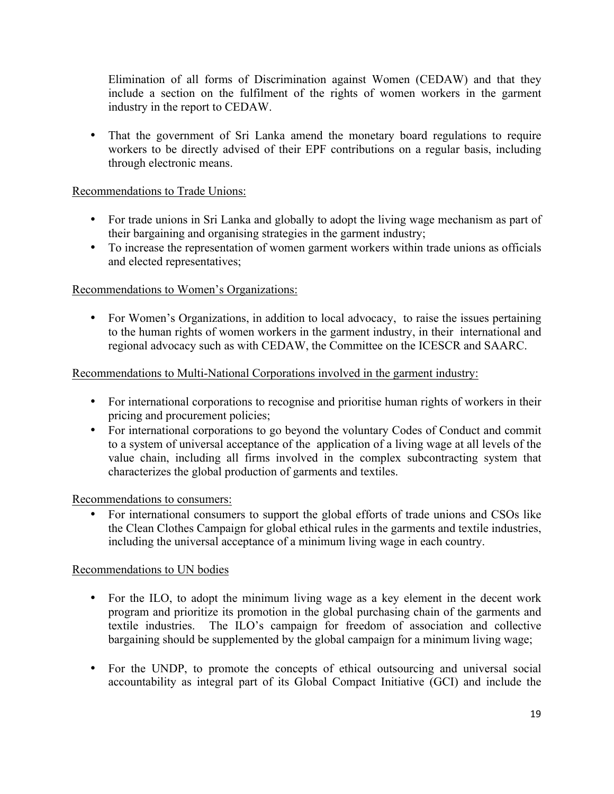Elimination of all forms of Discrimination against Women (CEDAW) and that they include a section on the fulfilment of the rights of women workers in the garment industry in the report to CEDAW.

• That the government of Sri Lanka amend the monetary board regulations to require workers to be directly advised of their EPF contributions on a regular basis, including through electronic means.

## Recommendations to Trade Unions:

- For trade unions in Sri Lanka and globally to adopt the living wage mechanism as part of their bargaining and organising strategies in the garment industry;
- To increase the representation of women garment workers within trade unions as officials and elected representatives;

## Recommendations to Women's Organizations:

• For Women's Organizations, in addition to local advocacy, to raise the issues pertaining to the human rights of women workers in the garment industry, in their international and regional advocacy such as with CEDAW, the Committee on the ICESCR and SAARC.

## Recommendations to Multi-National Corporations involved in the garment industry:

- For international corporations to recognise and prioritise human rights of workers in their pricing and procurement policies;
- For international corporations to go beyond the voluntary Codes of Conduct and commit to a system of universal acceptance of the application of a living wage at all levels of the value chain, including all firms involved in the complex subcontracting system that characterizes the global production of garments and textiles.

## Recommendations to consumers:

• For international consumers to support the global efforts of trade unions and CSOs like the Clean Clothes Campaign for global ethical rules in the garments and textile industries, including the universal acceptance of a minimum living wage in each country.

## Recommendations to UN bodies

- For the ILO, to adopt the minimum living wage as a key element in the decent work program and prioritize its promotion in the global purchasing chain of the garments and textile industries. The ILO's campaign for freedom of association and collective bargaining should be supplemented by the global campaign for a minimum living wage;
- For the UNDP, to promote the concepts of ethical outsourcing and universal social accountability as integral part of its Global Compact Initiative (GCI) and include the